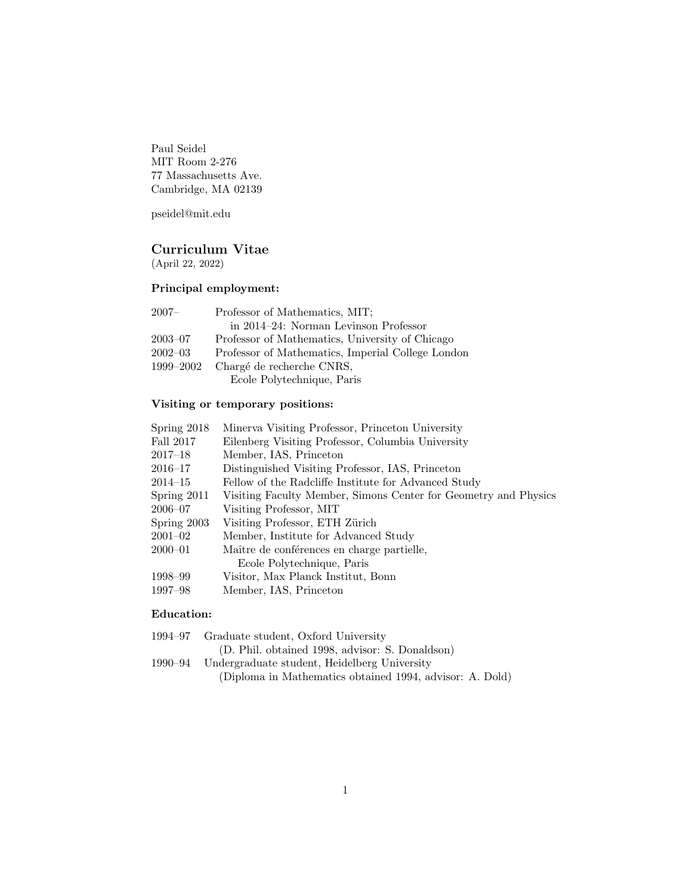Paul Seidel MIT Room 2-276 77 Massachusetts Ave. Cambridge, MA 02139

pseidel@mit.edu

# Curriculum Vitae

(April 22, 2022)

## Principal employment:

| 2007–       | Professor of Mathematics, MIT;                    |
|-------------|---------------------------------------------------|
|             | in 2014–24: Norman Levinson Professor             |
| $2003 - 07$ | Professor of Mathematics, University of Chicago   |
| $2002 - 03$ | Professor of Mathematics, Imperial College London |
| 1999-2002   | Chargé de recherche CNRS,                         |
|             | Ecole Polytechnique, Paris                        |

# Visiting or temporary positions:

| Spring 2018   | Minerva Visiting Professor, Princeton University                |
|---------------|-----------------------------------------------------------------|
| Fall 2017     | Eilenberg Visiting Professor, Columbia University               |
| $2017 - 18$   | Member, IAS, Princeton                                          |
| $2016 - 17$   | Distinguished Visiting Professor, IAS, Princeton                |
| $2014 - 15$   | Fellow of the Radcliffe Institute for Advanced Study            |
| Spring $2011$ | Visiting Faculty Member, Simons Center for Geometry and Physics |
| $2006 - 07$   | Visiting Professor, MIT                                         |
| Spring $2003$ | Visiting Professor, ETH Zürich                                  |
| $2001 - 02$   | Member, Institute for Advanced Study                            |
| $2000 - 01$   | Maître de conférences en charge partielle,                      |
|               | Ecole Polytechnique, Paris                                      |
| 1998–99       | Visitor, Max Planck Institut, Bonn                              |
| 1997–98       | Member, IAS, Princeton                                          |
|               |                                                                 |

## Education:

| 1994–97 | Graduate student, Oxford University                      |
|---------|----------------------------------------------------------|
|         | (D. Phil. obtained 1998, advisor: S. Donaldson)          |
| 1990–94 | Undergraduate student, Heidelberg University             |
|         | (Diploma in Mathematics obtained 1994, advisor: A. Dold) |
|         |                                                          |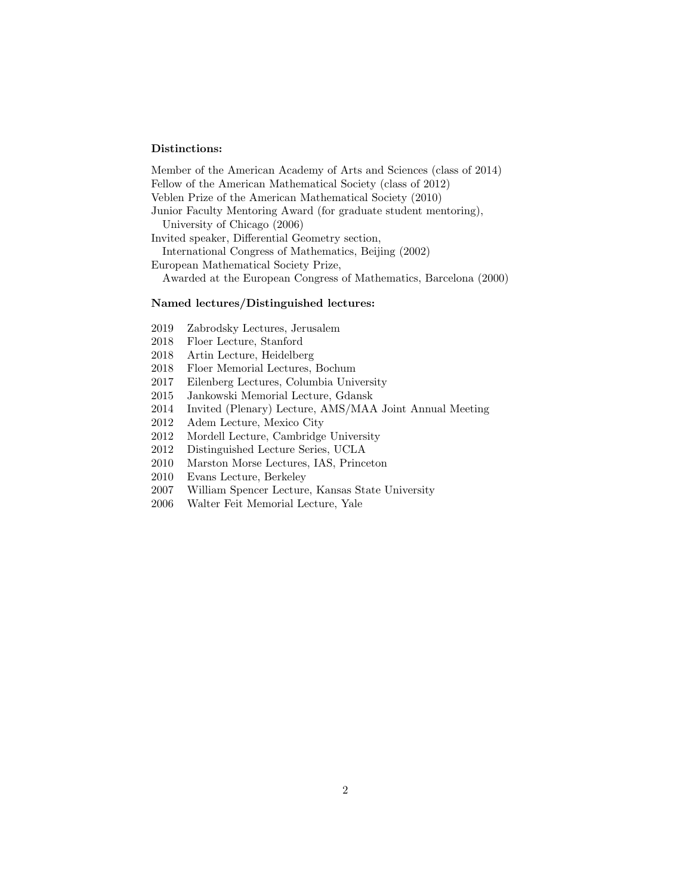#### Distinctions:

Member of the American Academy of Arts and Sciences (class of 2014) Fellow of the American Mathematical Society (class of 2012) Veblen Prize of the American Mathematical Society (2010) Junior Faculty Mentoring Award (for graduate student mentoring), University of Chicago (2006) Invited speaker, Differential Geometry section, International Congress of Mathematics, Beijing (2002) European Mathematical Society Prize, Awarded at the European Congress of Mathematics, Barcelona (2000)

#### Named lectures/Distinguished lectures:

- 2019 Zabrodsky Lectures, Jerusalem
- 2018 Floer Lecture, Stanford
- 2018 Artin Lecture, Heidelberg
- 2018 Floer Memorial Lectures, Bochum
- 2017 Eilenberg Lectures, Columbia University
- 2015 Jankowski Memorial Lecture, Gdansk
- 2014 Invited (Plenary) Lecture, AMS/MAA Joint Annual Meeting
- 2012 Adem Lecture, Mexico City
- 2012 Mordell Lecture, Cambridge University
- 2012 Distinguished Lecture Series, UCLA
- 2010 Marston Morse Lectures, IAS, Princeton
- 2010 Evans Lecture, Berkeley
- 2007 William Spencer Lecture, Kansas State University
- 2006 Walter Feit Memorial Lecture, Yale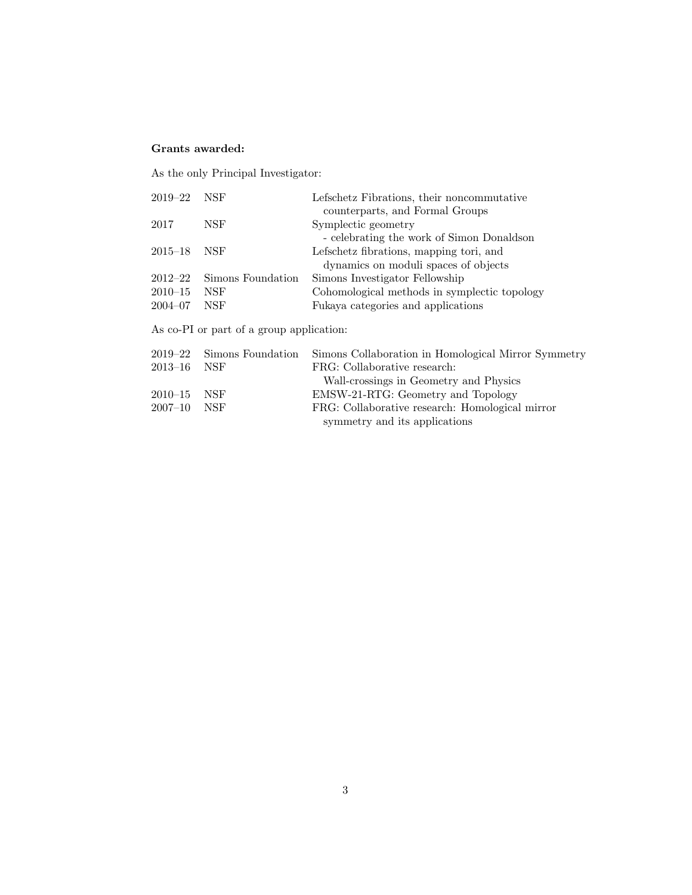## Grants awarded:

As the only Principal Investigator:

| $2019 - 22$ | NSF                                      | Lefschetz Fibrations, their noncommutative          |
|-------------|------------------------------------------|-----------------------------------------------------|
|             |                                          | counterparts, and Formal Groups                     |
| 2017        | <b>NSF</b>                               | Symplectic geometry                                 |
|             |                                          | - celebrating the work of Simon Donaldson           |
| $2015 - 18$ | NSF                                      | Lefschetz fibrations, mapping tori, and             |
|             |                                          | dynamics on moduli spaces of objects                |
| $2012 - 22$ | Simons Foundation                        | Simons Investigator Fellowship                      |
| $2010 - 15$ | <b>NSF</b>                               | Cohomological methods in symplectic topology        |
| $2004 - 07$ | <b>NSF</b>                               | Fukaya categories and applications                  |
|             | As co-PI or part of a group application: |                                                     |
| $2019 - 22$ | Simons Foundation                        | Simons Collaboration in Homological Mirror Symmetry |
| $2013 - 16$ | NSF                                      | FRG: Collaborative research:                        |
|             |                                          | Wall-crossings in Geometry and Physics              |
| $2010 - 15$ | <b>NSF</b>                               | EMSW-21-RTG: Geometry and Topology                  |
| $2007 - 10$ | <b>NSF</b>                               | FRG: Collaborative research: Homological mirror     |
|             |                                          |                                                     |

symmetry and its applications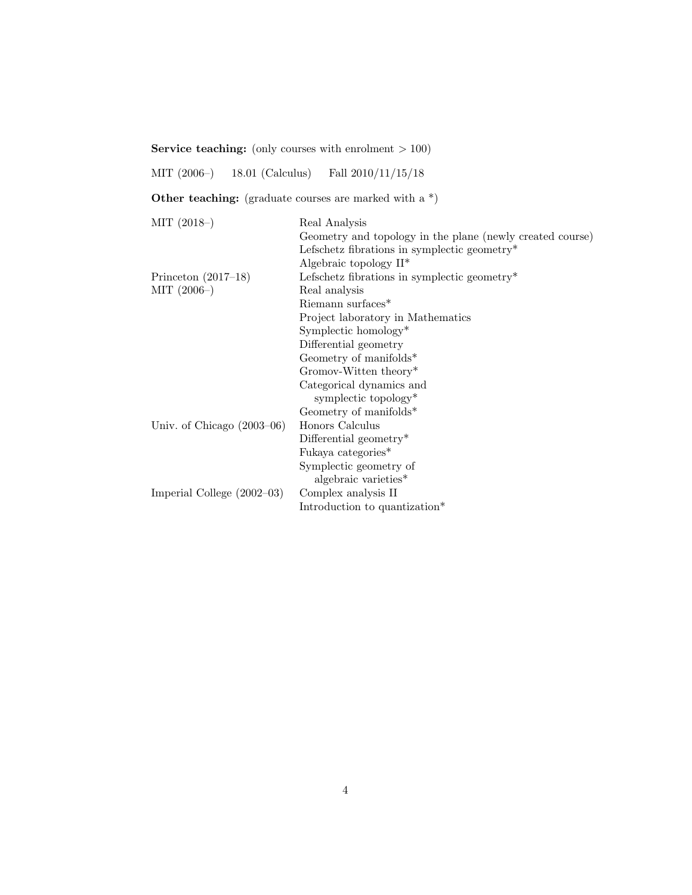Service teaching: (only courses with enrolment  $> 100$ )

MIT (2006–) 18.01 (Calculus) Fall 2010/11/15/18

Other teaching: (graduate courses are marked with a  $*)$ )

| $MIT (2018-)$                | Real Analysis                                             |
|------------------------------|-----------------------------------------------------------|
|                              | Geometry and topology in the plane (newly created course) |
|                              | Lefschetz fibrations in symplectic geometry*              |
|                              | Algebraic topology $II^*$                                 |
| Princeton $(2017-18)$        | Lefschetz fibrations in symplectic geometry*              |
| $MIT (2006-)$                | Real analysis                                             |
|                              | Riemann surfaces <sup>*</sup>                             |
|                              | Project laboratory in Mathematics                         |
|                              | Symplectic homology $*$                                   |
|                              | Differential geometry                                     |
|                              | Geometry of manifolds*                                    |
|                              | Gromov-Witten theory*                                     |
|                              | Categorical dynamics and                                  |
|                              | symplectic topology*                                      |
|                              | Geometry of manifolds*                                    |
| Univ. of Chicago $(2003-06)$ | Honors Calculus                                           |
|                              | Differential geometry $*$                                 |
|                              | Fukaya categories*                                        |
|                              | Symplectic geometry of                                    |
|                              | algebraic varieties*                                      |
| Imperial College $(2002-03)$ | Complex analysis II                                       |
|                              | Introduction to quantization*                             |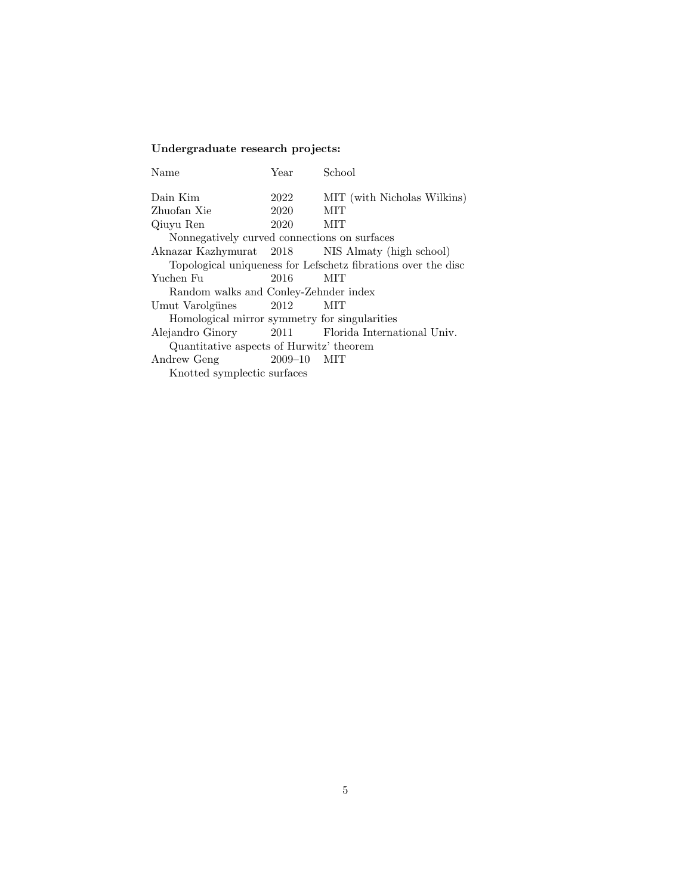# Undergraduate research projects:

| Name                                          | Year            | School                                                        |
|-----------------------------------------------|-----------------|---------------------------------------------------------------|
| Dain Kim                                      | 2022            | MIT (with Nicholas Wilkins)                                   |
| Zhuofan Xie                                   | 2020            | MІТ                                                           |
| Qiuyu Ren                                     | 2020            | MIT                                                           |
| Nonnegatively curved connections on surfaces  |                 |                                                               |
|                                               |                 | Aknazar Kazhymurat 2018 NIS Almaty (high school)              |
|                                               |                 | Topological uniqueness for Lefschetz fibrations over the disc |
| Yuchen Fu                                     | 2016            | MIT                                                           |
| Random walks and Conley-Zehnder index         |                 |                                                               |
| Umut Varolgünes                               | 2012            | MIT                                                           |
| Homological mirror symmetry for singularities |                 |                                                               |
| Alejandro Ginory                              |                 | 2011 Florida International Univ.                              |
| Quantitative aspects of Hurwitz' theorem      |                 |                                                               |
| Andrew Geng                                   | $2009 - 10$ MIT |                                                               |
| Knotted symplectic surfaces                   |                 |                                                               |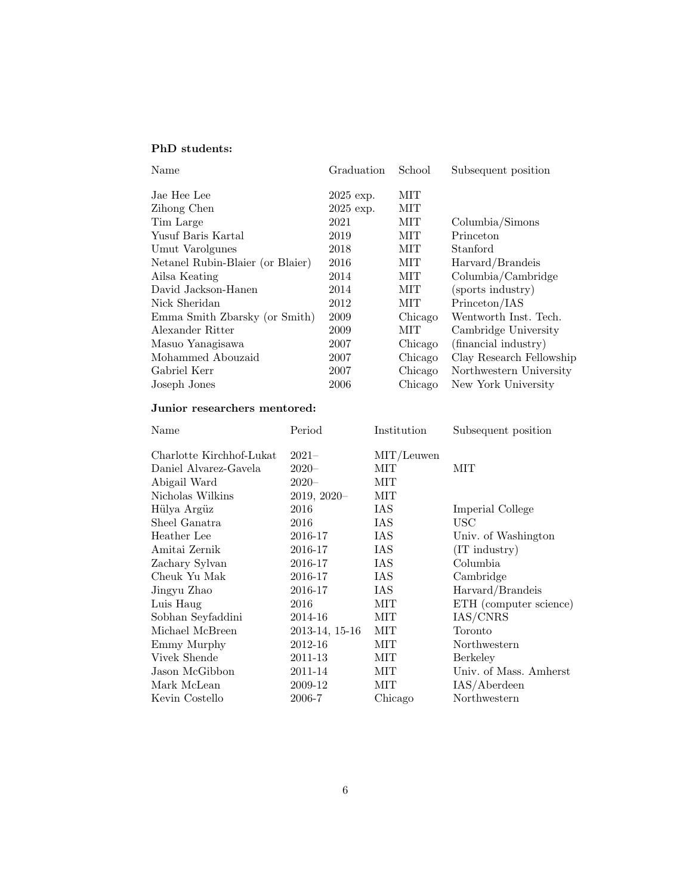## PhD students:

| Name                             | Graduation  | School     | Subsequent position      |
|----------------------------------|-------------|------------|--------------------------|
| Jae Hee Lee                      | $2025$ exp. | MІT        |                          |
| Zihong Chen                      | $2025$ exp. | MІТ        |                          |
| Tim Large                        | 2021        | МIТ        | Columbia/Simons          |
| Yusuf Baris Kartal               | 2019        | МIТ        | Princeton                |
| Umut Varolgunes                  | 2018        | MІТ        | Stanford                 |
| Netanel Rubin-Blaier (or Blaier) | 2016        | МIТ        | Harvard/Brandeis         |
| Ailsa Keating                    | 2014        | MІТ        | Columbia/Cambridge       |
| David Jackson-Hanen              | 2014        | <b>MIT</b> | (sports industry)        |
| Nick Sheridan                    | 2012        | MІT        | Princeton/IAS            |
| Emma Smith Zbarsky (or Smith)    | 2009        | Chicago    | Wentworth Inst. Tech.    |
| Alexander Ritter                 | 2009        | MІT        | Cambridge University     |
| Masuo Yanagisawa                 | 2007        | Chicago    | (financial industry)     |
| Mohammed Abouzaid                | 2007        | Chicago    | Clay Research Fellowship |
| Gabriel Kerr                     | 2007        | Chicago    | Northwestern University  |
| Joseph Jones                     | 2006        | Chicago    | New York University      |

## Junior researchers mentored:

|                |                                | Subsequent position    |
|----------------|--------------------------------|------------------------|
| $2021 -$       | $\mathrm{MIT}/\mathrm{Leuwen}$ |                        |
| $2020 -$       | MIT                            | MІT                    |
| $2020 -$       | MIT                            |                        |
| $2019, 2020 -$ | MІТ                            |                        |
| 2016           | IAS                            | Imperial College       |
| 2016           | IAS                            | USC                    |
| 2016-17        | IAS                            | Univ. of Washington    |
| 2016-17        | IAS                            | $(IT$ industry $)$     |
| 2016-17        | IAS                            | Columbia               |
| 2016-17        | IAS                            | Cambridge              |
| 2016-17        | IAS                            | Harvard/Brandeis       |
| 2016           | МIТ                            | ETH (computer science) |
| 2014-16        | МIТ                            | IAS/CNRS               |
| 2013-14, 15-16 | MIT                            | Toronto                |
| 2012-16        | МIТ                            | Northwestern           |
| 2011-13        | МIТ                            | Berkeley               |
| 2011-14        | МIТ                            | Univ. of Mass. Amherst |
| 2009-12        | MІТ                            | IAS/Aberdeen           |
| 2006-7         | Chicago                        | Northwestern           |
|                |                                |                        |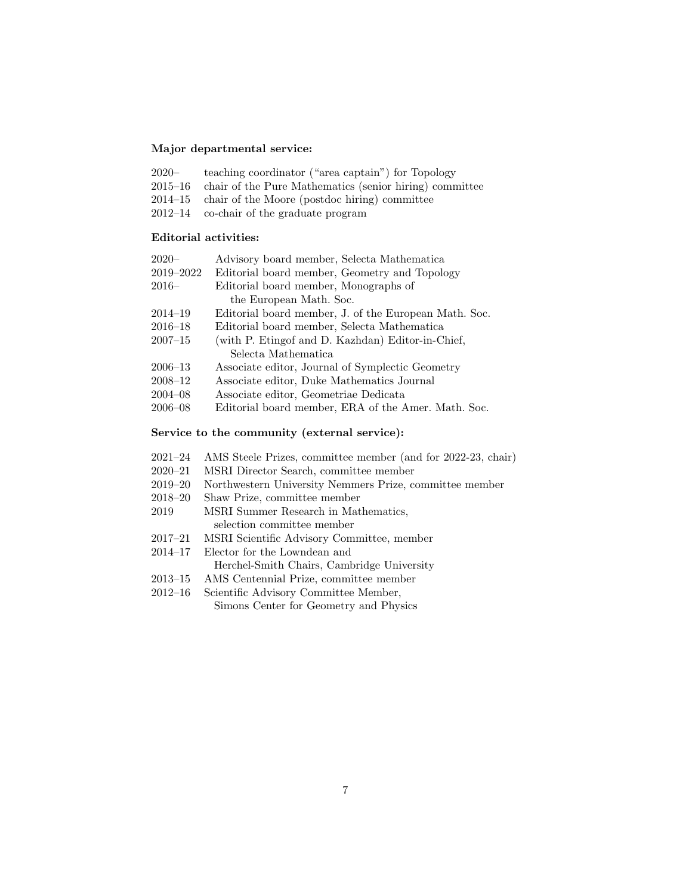### Major departmental service:

| $2020-$ | teaching coordinator ("area captain") for Topology              |
|---------|-----------------------------------------------------------------|
|         | 2015–16 chair of the Pure Mathematics (senior hiring) committee |
|         | $2014-15$ chair of the Moore (postdoc hiring) committee         |

2012–14 co-chair of the graduate program

## Editorial activities:

| $2020-$     | Advisory board member, Selecta Mathematica            |
|-------------|-------------------------------------------------------|
| 2019-2022   | Editorial board member, Geometry and Topology         |
| $2016-$     | Editorial board member, Monographs of                 |
|             | the European Math. Soc.                               |
| $2014 - 19$ | Editorial board member, J. of the European Math. Soc. |
| $2016 - 18$ | Editorial board member, Selecta Mathematica           |
| $2007 - 15$ | (with P. Etingof and D. Kazhdan) Editor-in-Chief,     |
|             | Selecta Mathematica                                   |
| $2006 - 13$ | Associate editor, Journal of Symplectic Geometry      |
| $2008 - 12$ | Associate editor, Duke Mathematics Journal            |
| $2004 - 08$ | Associate editor, Geometriae Dedicata                 |
| $2006 - 08$ | Editorial board member, ERA of the Amer. Math. Soc.   |
|             |                                                       |

### Service to the community (external service):

- 2021–24 AMS Steele Prizes, committee member (and for 2022-23, chair)
- 2020–21 MSRI Director Search, committee member
- 2019–20 Northwestern University Nemmers Prize, committee member
- 2018–20 Shaw Prize, committee member
- 2019 MSRI Summer Research in Mathematics, selection committee member
- 2017–21 MSRI Scientific Advisory Committee, member
- 2014–17 Elector for the Lowndean and

Herchel-Smith Chairs, Cambridge University

- 2013–15 AMS Centennial Prize, committee member
- 2012–16 Scientific Advisory Committee Member, Simons Center for Geometry and Physics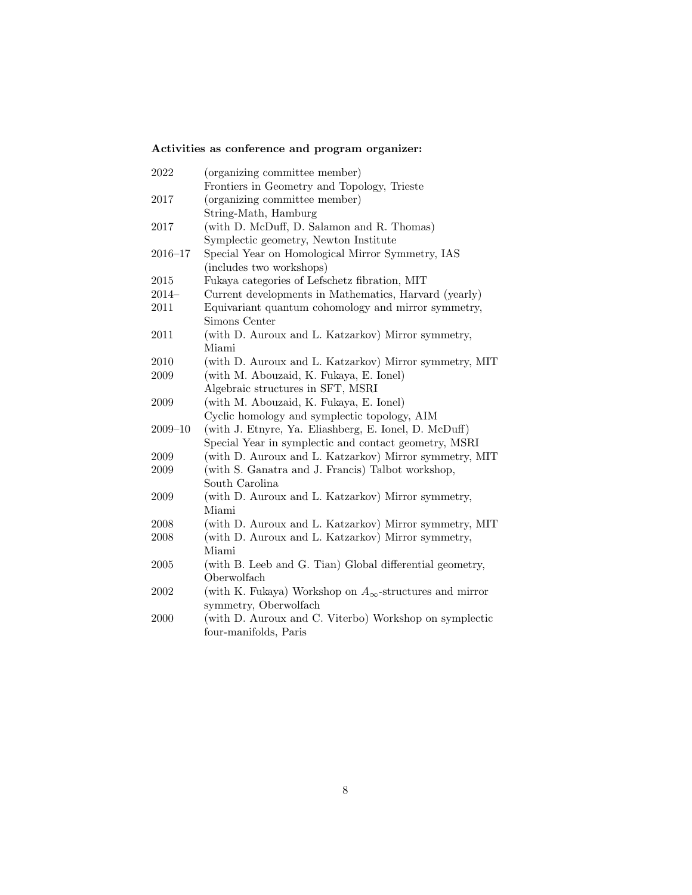# Activities as conference and program organizer:

| 2022        | (organizing committee member)                                    |
|-------------|------------------------------------------------------------------|
|             | Frontiers in Geometry and Topology, Trieste                      |
| 2017        | (organizing committee member)                                    |
|             | String-Math, Hamburg                                             |
| 2017        | (with D. McDuff, D. Salamon and R. Thomas)                       |
|             | Symplectic geometry, Newton Institute                            |
| $2016 - 17$ | Special Year on Homological Mirror Symmetry, IAS                 |
|             | (includes two workshops)                                         |
| 2015        | Fukaya categories of Lefschetz fibration, MIT                    |
| $2014-$     | Current developments in Mathematics, Harvard (yearly)            |
| 2011        | Equivariant quantum cohomology and mirror symmetry,              |
|             | Simons Center                                                    |
| $2011\,$    | (with D. Auroux and L. Katzarkov) Mirror symmetry,               |
|             | Miami                                                            |
| 2010        | (with D. Auroux and L. Katzarkov) Mirror symmetry, MIT           |
| 2009        | (with M. Abouzaid, K. Fukaya, E. Ionel)                          |
|             | Algebraic structures in SFT, MSRI                                |
| 2009        | (with M. Abouzaid, K. Fukaya, E. Ionel)                          |
|             | Cyclic homology and symplectic topology, AIM                     |
| $2009 - 10$ | (with J. Etnyre, Ya. Eliashberg, E. Ionel, D. McDuff)            |
|             | Special Year in symplectic and contact geometry, MSRI            |
| 2009        | (with D. Auroux and L. Katzarkov) Mirror symmetry, MIT           |
| 2009        | (with S. Ganatra and J. Francis) Talbot workshop,                |
|             | South Carolina                                                   |
| 2009        | (with D. Auroux and L. Katzarkov) Mirror symmetry,               |
|             | Miami                                                            |
| 2008        | (with D. Auroux and L. Katzarkov) Mirror symmetry, MIT           |
| 2008        | (with D. Auroux and L. Katzarkov) Mirror symmetry,               |
|             | Miami                                                            |
| $\,2005\,$  | (with B. Leeb and G. Tian) Global differential geometry,         |
|             | Oberwolfach                                                      |
| 2002        | (with K. Fukaya) Workshop on $A_{\infty}$ -structures and mirror |
|             | symmetry, Oberwolfach                                            |
| 2000        | (with D. Auroux and C. Viterbo) Workshop on symplectic           |
|             | four-manifolds, Paris                                            |
|             |                                                                  |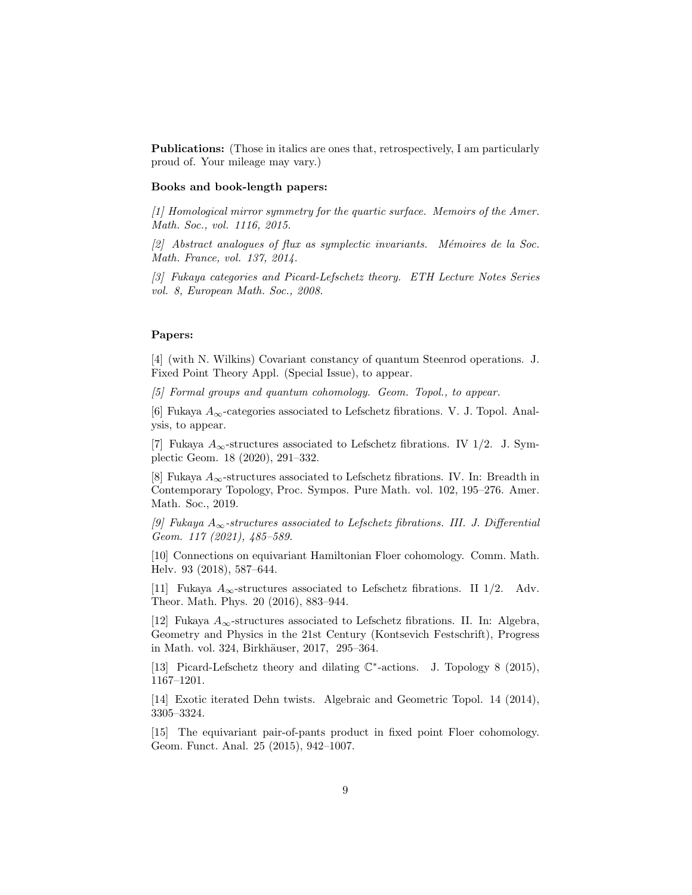Publications: (Those in italics are ones that, retrospectively, I am particularly proud of. Your mileage may vary.)

### Books and book-length papers:

[1] Homological mirror symmetry for the quartic surface. Memoirs of the Amer. Math. Soc., vol. 1116, 2015.

 $[2]$  Abstract analogues of flux as symplectic invariants. Mémoires de la Soc. Math. France, vol. 137, 2014.

[3] Fukaya categories and Picard-Lefschetz theory. ETH Lecture Notes Series vol. 8, European Math. Soc., 2008.

#### Papers:

[4] (with N. Wilkins) Covariant constancy of quantum Steenrod operations. J. Fixed Point Theory Appl. (Special Issue), to appear.

[5] Formal groups and quantum cohomology. Geom. Topol., to appear.

[6] Fukaya  $A_{\infty}$ -categories associated to Lefschetz fibrations. V. J. Topol. Analysis, to appear.

[7] Fukaya  $A_{\infty}$ -structures associated to Lefschetz fibrations. IV 1/2. J. Symplectic Geom. 18 (2020), 291–332.

[8] Fukaya  $A_{\infty}$ -structures associated to Lefschetz fibrations. IV. In: Breadth in Contemporary Topology, Proc. Sympos. Pure Math. vol. 102, 195–276. Amer. Math. Soc., 2019.

[9] Fukaya  $A_{\infty}$ -structures associated to Lefschetz fibrations. III. J. Differential Geom. 117 (2021), 485–589.

[10] Connections on equivariant Hamiltonian Floer cohomology. Comm. Math. Helv. 93 (2018), 587–644.

[11] Fukaya  $A_{\infty}$ -structures associated to Lefschetz fibrations. II 1/2. Adv. Theor. Math. Phys. 20 (2016), 883–944.

[12] Fukaya  $A_{\infty}$ -structures associated to Lefschetz fibrations. II. In: Algebra, Geometry and Physics in the 21st Century (Kontsevich Festschrift), Progress in Math. vol. 324, Birkhäuser, 2017, 295–364.

[13] Picard-Lefschetz theory and dilating C ∗ -actions. J. Topology 8 (2015), 1167–1201.

[14] Exotic iterated Dehn twists. Algebraic and Geometric Topol. 14 (2014), 3305–3324.

[15] The equivariant pair-of-pants product in fixed point Floer cohomology. Geom. Funct. Anal. 25 (2015), 942–1007.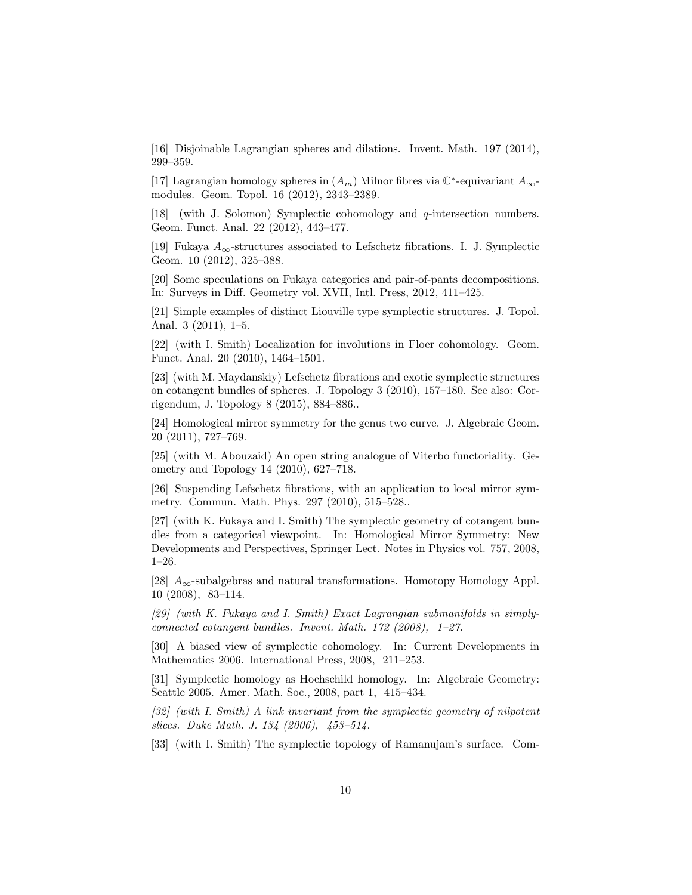[16] Disjoinable Lagrangian spheres and dilations. Invent. Math. 197 (2014), 299–359.

[17] Lagrangian homology spheres in  $(A_m)$  Milnor fibres via  $\mathbb{C}^*$ -equivariant  $A_{\infty}$ modules. Geom. Topol. 16 (2012), 2343–2389.

[18] (with J. Solomon) Symplectic cohomology and q-intersection numbers. Geom. Funct. Anal. 22 (2012), 443–477.

[19] Fukaya  $A_{\infty}$ -structures associated to Lefschetz fibrations. I. J. Symplectic Geom. 10 (2012), 325–388.

[20] Some speculations on Fukaya categories and pair-of-pants decompositions. In: Surveys in Diff. Geometry vol. XVII, Intl. Press, 2012, 411–425.

[21] Simple examples of distinct Liouville type symplectic structures. J. Topol. Anal. 3 (2011), 1–5.

[22] (with I. Smith) Localization for involutions in Floer cohomology. Geom. Funct. Anal. 20 (2010), 1464–1501.

[23] (with M. Maydanskiy) Lefschetz fibrations and exotic symplectic structures on cotangent bundles of spheres. J. Topology 3 (2010), 157–180. See also: Corrigendum, J. Topology 8 (2015), 884–886..

[24] Homological mirror symmetry for the genus two curve. J. Algebraic Geom. 20 (2011), 727–769.

[25] (with M. Abouzaid) An open string analogue of Viterbo functoriality. Geometry and Topology 14 (2010), 627–718.

[26] Suspending Lefschetz fibrations, with an application to local mirror symmetry. Commun. Math. Phys. 297 (2010), 515–528..

[27] (with K. Fukaya and I. Smith) The symplectic geometry of cotangent bundles from a categorical viewpoint. In: Homological Mirror Symmetry: New Developments and Perspectives, Springer Lect. Notes in Physics vol. 757, 2008, 1–26.

[28]  $A_{\infty}$ -subalgebras and natural transformations. Homotopy Homology Appl. 10 (2008), 83–114.

[29] (with K. Fukaya and I. Smith) Exact Lagrangian submanifolds in simplyconnected cotangent bundles. Invent. Math. 172 (2008), 1–27.

[30] A biased view of symplectic cohomology. In: Current Developments in Mathematics 2006. International Press, 2008, 211–253.

[31] Symplectic homology as Hochschild homology. In: Algebraic Geometry: Seattle 2005. Amer. Math. Soc., 2008, part 1, 415–434.

[32] (with I. Smith) A link invariant from the symplectic geometry of nilpotent slices. Duke Math. J. 134 (2006), 453–514.

[33] (with I. Smith) The symplectic topology of Ramanujam's surface. Com-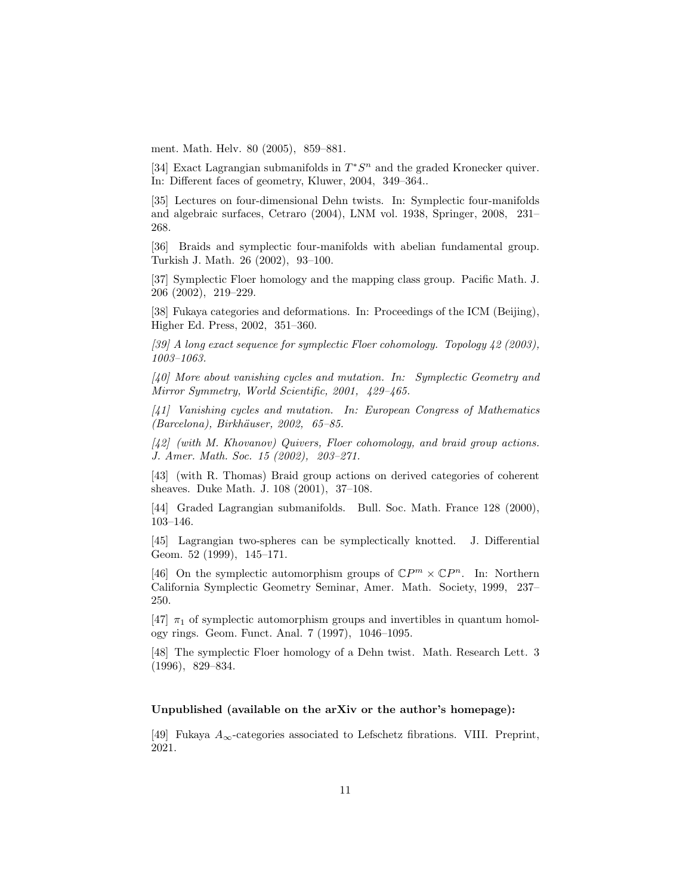ment. Math. Helv. 80 (2005), 859–881.

[34] Exact Lagrangian submanifolds in  $T^*S^n$  and the graded Kronecker quiver. In: Different faces of geometry, Kluwer, 2004, 349–364..

[35] Lectures on four-dimensional Dehn twists. In: Symplectic four-manifolds and algebraic surfaces, Cetraro (2004), LNM vol. 1938, Springer, 2008, 231– 268.

[36] Braids and symplectic four-manifolds with abelian fundamental group. Turkish J. Math. 26 (2002), 93–100.

[37] Symplectic Floer homology and the mapping class group. Pacific Math. J. 206 (2002), 219–229.

[38] Fukaya categories and deformations. In: Proceedings of the ICM (Beijing), Higher Ed. Press, 2002, 351–360.

[39] A long exact sequence for symplectic Floer cohomology. Topology 42 (2003), 1003–1063.

[40] More about vanishing cycles and mutation. In: Symplectic Geometry and Mirror Symmetry, World Scientific, 2001, 429–465.

[41] Vanishing cycles and mutation. In: European Congress of Mathematics (Barcelona), Birkhäuser, 2002, 65–85.

[42] (with M. Khovanov) Quivers, Floer cohomology, and braid group actions. J. Amer. Math. Soc. 15 (2002), 203–271.

[43] (with R. Thomas) Braid group actions on derived categories of coherent sheaves. Duke Math. J. 108 (2001), 37–108.

[44] Graded Lagrangian submanifolds. Bull. Soc. Math. France 128 (2000), 103–146.

[45] Lagrangian two-spheres can be symplectically knotted. J. Differential Geom. 52 (1999), 145–171.

[46] On the symplectic automorphism groups of  $\mathbb{C}P^m \times \mathbb{C}P^n$ . In: Northern California Symplectic Geometry Seminar, Amer. Math. Society, 1999, 237– 250.

[47]  $\pi_1$  of symplectic automorphism groups and invertibles in quantum homology rings. Geom. Funct. Anal. 7 (1997), 1046–1095.

[48] The symplectic Floer homology of a Dehn twist. Math. Research Lett. 3 (1996), 829–834.

### Unpublished (available on the arXiv or the author's homepage):

[49] Fukaya  $A_{\infty}$ -categories associated to Lefschetz fibrations. VIII. Preprint, 2021.